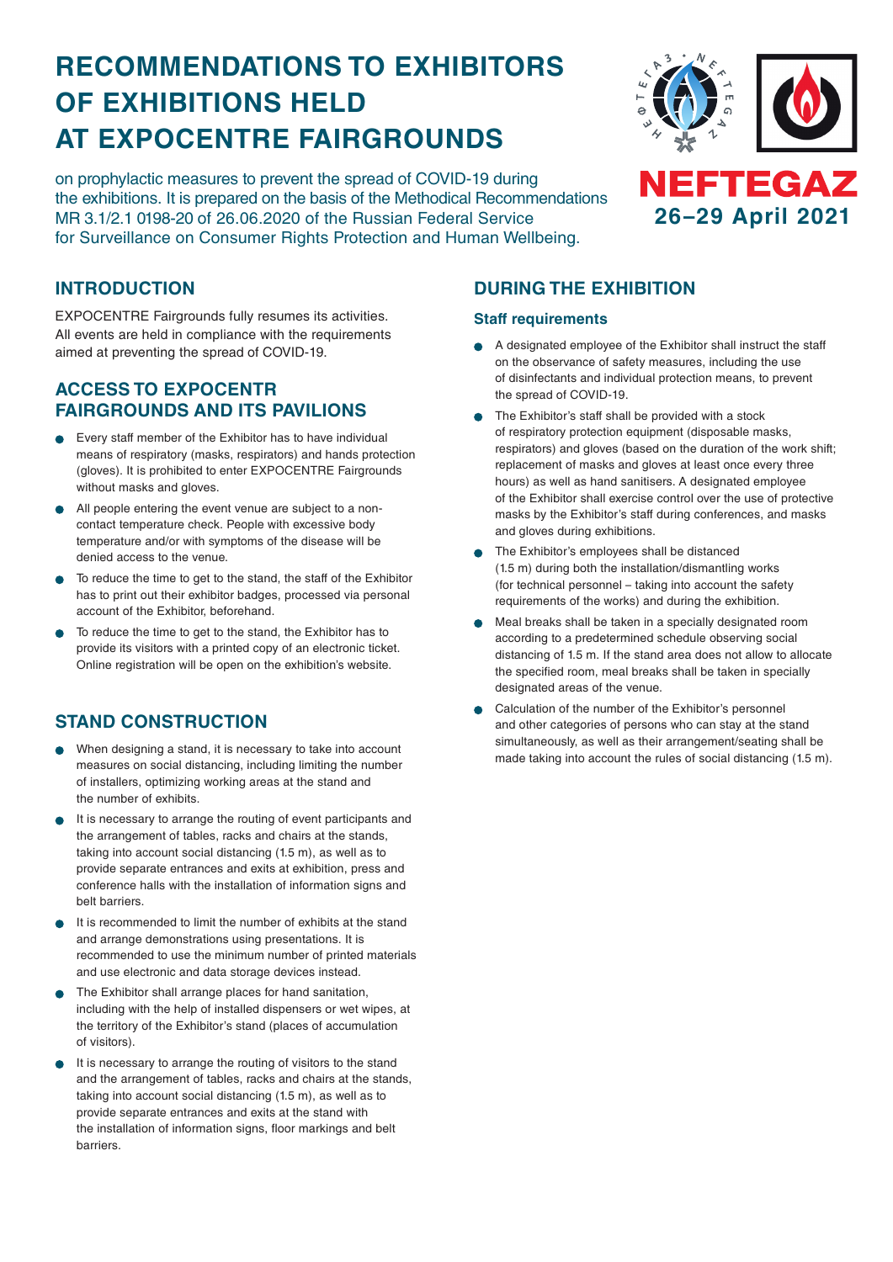# **RECOMMENDATIONS TO EXHIBITORS OF EXHIBITIONS HELD AT EXPOCENTRE FAIRGROUNDS**

on prophylactic measures to prevent the spread of COVID-19 during the exhibitions. It is prepared on the basis of the Methodical Recommendations MR 3.1/2.1 0198-20 of 26.06.2020 of the Russian Federal Service for Surveillance on Consumer Rights Protection and Human Wellbeing.



### **INTRODUCTION**

EXPOCENTRE Fairgrounds fully resumes its activities. All events are held in compliance with the requirements aimed at preventing the spread of COVID-19.

### **ACCESS TO EXPOCENTR FAIRGROUNDS AND ITS PAVILIONS**

- Every staff member of the Exhibitor has to have individual means of respiratory (masks, respirators) and hands protection (gloves). It is prohibited to enter EXPOCENTRE Fairgrounds without masks and gloves.
- All people entering the event venue are subject to a noncontact temperature check. People with excessive body temperature and/or with symptoms of the disease will be denied access to the venue.
- To reduce the time to get to the stand, the staff of the Exhibitor has to print out their exhibitor badges, processed via personal account of the Exhibitor, beforehand.
- To reduce the time to get to the stand, the Exhibitor has to provide its visitors with a printed copy of an electronic ticket. Online registration will be open on the exhibition's website.

## **STAND CONSTRUCTION**

- When designing a stand, it is necessary to take into account measures on social distancing, including limiting the number of installers, optimizing working areas at the stand and the number of exhibits.
- It is necessary to arrange the routing of event participants and the arrangement of tables, racks and chairs at the stands, taking into account social distancing (1.5 m), as well as to provide separate entrances and exits at exhibition, press and conference halls with the installation of information signs and belt barriers.
- It is recommended to limit the number of exhibits at the stand and arrange demonstrations using presentations. It is recommended to use the minimum number of printed materials and use electronic and data storage devices instead.
- The Exhibitor shall arrange places for hand sanitation, including with the help of installed dispensers or wet wipes, at the territory of the Exhibitor's stand (places of accumulation of visitors).
- It is necessary to arrange the routing of visitors to the stand and the arrangement of tables, racks and chairs at the stands, taking into account social distancing (1.5 m), as well as to provide separate entrances and exits at the stand with the installation of information signs, floor markings and belt barriers.

## **DURING THE EXHIBITION**

#### **Staff requirements**

- A designated employee of the Exhibitor shall instruct the staff on the observance of safety measures, including the use of disinfectants and individual protection means, to prevent the spread of COVID-19.
- The Exhibitor's staff shall be provided with a stock of respiratory protection equipment (disposable masks, respirators) and gloves (based on the duration of the work shift; replacement of masks and gloves at least once every three hours) as well as hand sanitisers. A designated employee of the Exhibitor shall exercise control over the use of protective masks by the Exhibitor's staff during conferences, and masks and gloves during exhibitions.
- The Exhibitor's employees shall be distanced (1.5 m) during both the installation/dismantling works (for technical personnel – taking into account the safety requirements of the works) and during the exhibition.
- Meal breaks shall be taken in a specially designated room according to a predetermined schedule observing social distancing of 1.5 m. If the stand area does not allow to allocate the specified room, meal breaks shall be taken in specially designated areas of the venue.
- Calculation of the number of the Exhibitor's personnel and other categories of persons who can stay at the stand simultaneously, as well as their arrangement/seating shall be made taking into account the rules of social distancing (1.5 m).